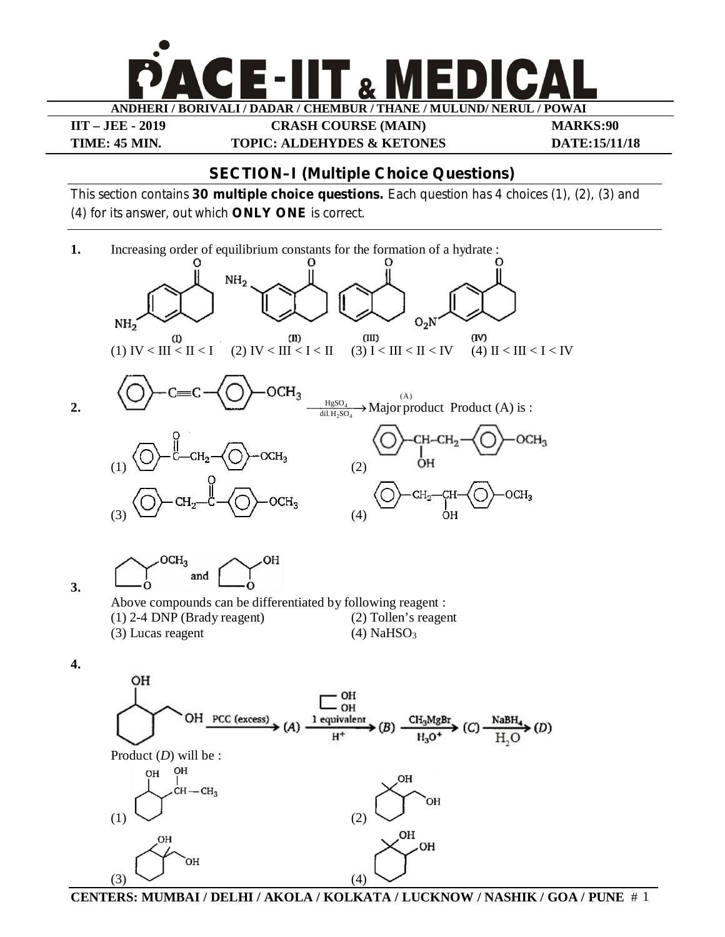**ANDHERI / BORIVALI / DADAR / CHEMBUR / THANE / MULUND/ NERUL / POWAI** 

**IIT – JEE - 2019 CRASH COURSE (MAIN) MARKS:90 TIME: 45 MIN. TOPIC: ALDEHYDES & KETONES DATE:15/11/18**

## **SECTION–I (Multiple Choice Questions)**

This section contains **30 multiple choice questions.** Each question has 4 choices (1), (2), (3) and (4) for its answer, out which **ONLY ONE** is correct.



**CENTERS: MUMBAI / DELHI / AKOLA / KOLKATA / LUCKNOW / NASHIK / GOA / PUNE** # 1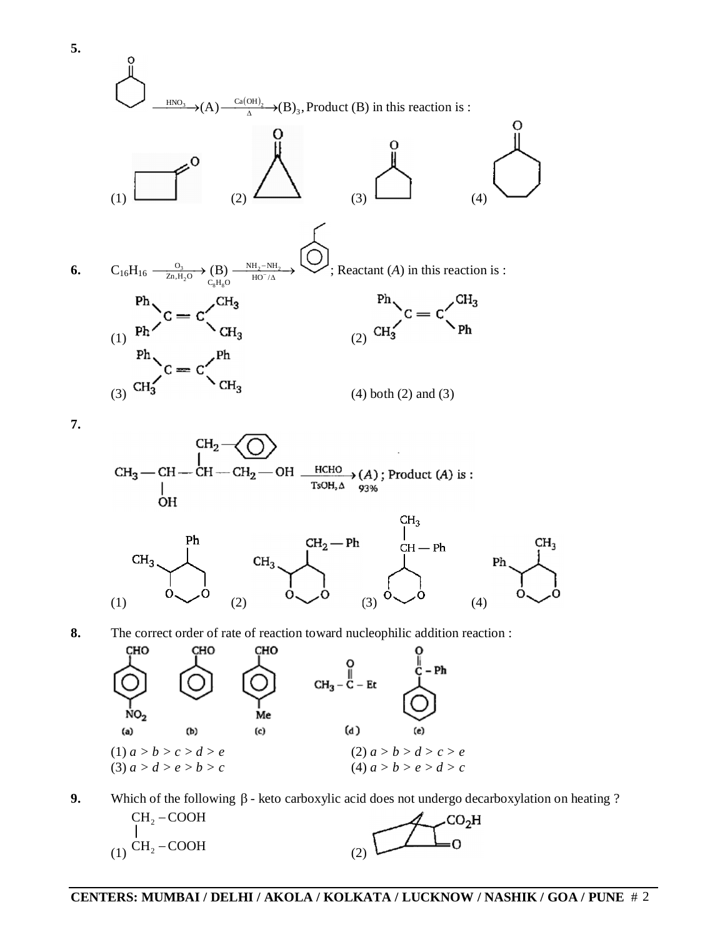

**9.** Which of the following  $\beta$  - keto carboxylic acid does not undergo decarboxylation on heating ?

 $CH<sub>2</sub> - COOH$  $CO<sub>2</sub>H$  $(1)$  CH<sub>2</sub> – COOH (2)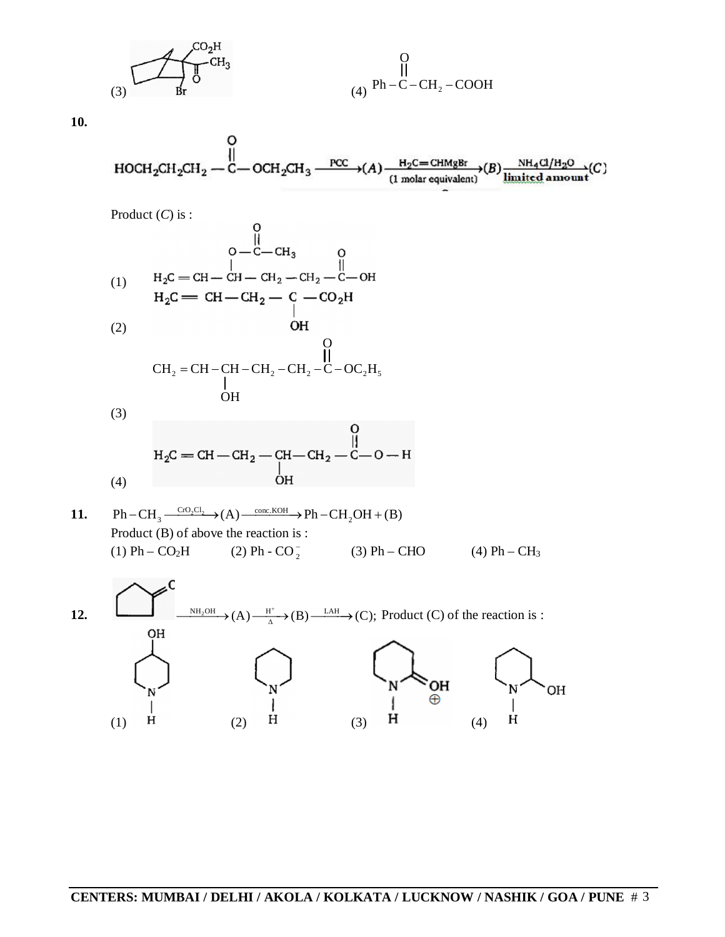(3) (4) Ph C CH COOH <sup>2</sup> O

**10.**

$$
\begin{array}{c}\n\text{O} \\
\parallel \\
\text{HOCH}_2\text{CH}_2\text{CH}_2 \text{---} \text{C} \text{---} \text{OCH}_2\text{CH}_3 \xrightarrow{\text{PCC}} (A) \xrightarrow{\text{H}_2\text{C} = \text{CHMgBr}} (B) \xrightarrow{\text{NH}_4\text{Cl}/\text{H}_2\text{O}} (C) \\
\text{HOCH}_2\text{CH}_2 \text{---} \text{OCH}_2\text{CH}_3 \xrightarrow{\text{PCC}} (A) \xrightarrow{\text{H}_2\text{C} = \text{CHMgBr}} (B) \xrightarrow{\text{NH}_4\text{Cl}/\text{H}_2\text{O}} (C) \xrightarrow{\text{H}_2\text{Cl}_2\text{--} \text{OCH}_2\text{CH}_3} \text{---} \text{OCH}_2\text{CH}_3 \xrightarrow{\text{PCC}} (C) \xrightarrow{\text{H}_2\text{Cl}_2\text{--} \text{OCH}_2\text{CH}_3} \text{---} \text{OCH}_2\text{CH}_3 \xrightarrow{\text{PCC}} (C) \xrightarrow{\text{H}_2\text{Cl}_2\text{--} \text{OCH}_2\text{CH}_3} \text{---} \text{OCH}_2\text{CH}_3 \xrightarrow{\text{PCC}} (C) \xrightarrow{\text{H}_2\text{Cl}_2\text{--} \text{OCH}_2\text{CH}_3} \text{---} \text{OCH}_2\text{CH}_3 \xrightarrow{\text{PCC}} (C) \xrightarrow{\text{H}_2\text{Cl}_2\text{--} \text{OCH}_2\text{CH}_3} \text{---} \text{OCH}_2\text{CH}_3 \xrightarrow{\text{H}_2\text{Cl}_2\text{--} \text{OCH}_2\text{CH}_3} \text{---} \text{OCH}_2\text{CH}_3 \xrightarrow{\text{PCC}} (C) \xrightarrow{\text{H}_2\text{Cl}_2\text{--} \text{OCH}_2\text{CH}_3} \text{---} \text{OCH}_2\text{CH}_3 \xrightarrow{\text{H}_2\text{Cl}_2\text{--} \text{OCH}_2\text{CH}_3} \text{---} \text{OCH}_2\text{CH}_3 \xrightarrow{\text{H}_2\text{Cl}_2\text{--} \text{OCH}_2\text{CH}_3} \xrightarrow{\text{H}_2\text{Cl}_2\text{--
$$

 $\Omega$ 

Product (*C*) is :

$$
H_{2}C = CH - CH - CH_{2} - CH_{2} - CO_{2}H
$$
\n(1) 
$$
H_{2}C = CH - CH_{2} - CH_{2} - CO_{2}H
$$
\n(2) 
$$
CH_{2} = CH - CH - CH_{2} - CO_{2}H
$$
\n(3) 
$$
CH_{2} = CH - CH - CH_{2} - CH_{2} - CO_{2}H
$$
\n(4) 
$$
OH
$$
\n(5) 
$$
CH_{2} = CH - CH - CH_{2} - CH_{2} - CO_{2}H
$$
\n(6) 
$$
OH
$$
\n(7) 
$$
OH
$$
\n(8) 
$$
OH
$$
\n(9) 
$$
OH
$$
\n(10) 
$$
OH
$$
\n(11) 
$$
OH
$$
\n(12) 
$$
OH
$$
\n(13) 
$$
OH
$$
\n(14) 
$$
H_{2}C = CH - CH_{2} - CH_{2} - CO_{2}H
$$
\n(15) 
$$
H_{2}C = CH - CH - CH_{2} - CH_{2} - CO_{2}H
$$

(3)

$$
\mathrm{H_{2}C=CH-CH_{2}-CH-CH_{2}-\overset{\underset{\text{I}}{\text{I}}}{\underset{\text{O}}{\text{H}}-\text{C}-\text{O}-\text{H}}}
$$

11. 
$$
Ph - CH_3 \xrightarrow{CrO_2Cl_2} (A) \xrightarrow{conv. KOH} Ph - CH_2OH + (B)
$$
  
Product (B) of above the reaction is :  
(1) Ph - CO<sub>2</sub>H (2) Ph - CO<sub>2</sub> (3) Ph - CHO (4) Ph - CH<sub>3</sub>

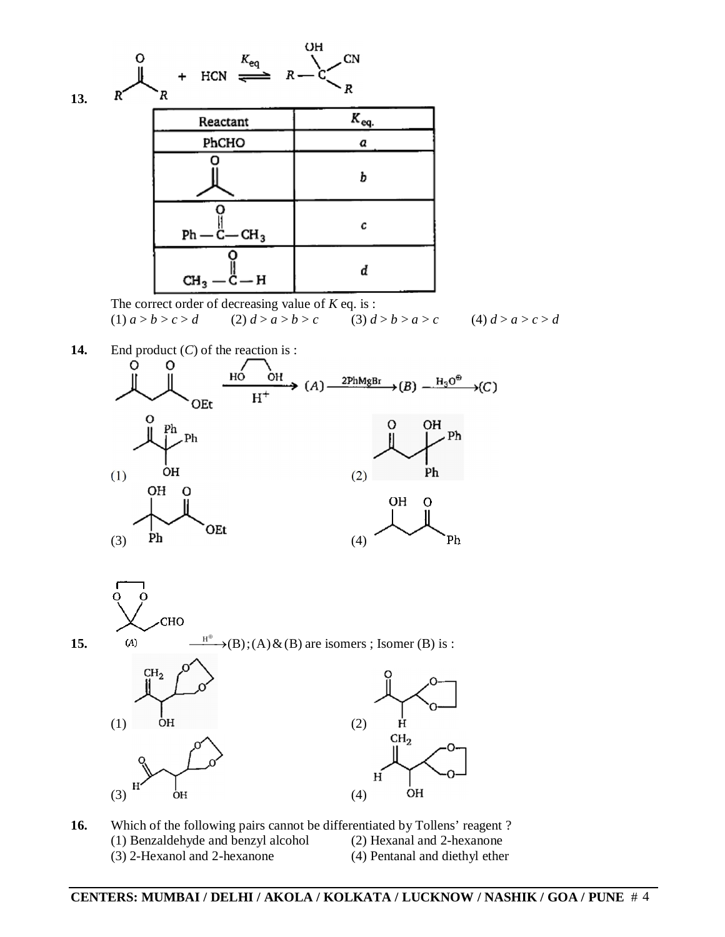

The correct order of decreasing value of *K* eq. is :<br>
(1)  $a > b > c > d$  (2)  $d > a > b > c$  (3)  $d > b > a > c$ (1)  $a > b > c > d$  (2)  $d > a > b > c$  (3)  $d > b > a > c$  (4)  $d > a > c > d$ 

**14.** End product (*C*) of the reaction is :







**16.** Which of the following pairs cannot be differentiated by Tollens' reagent ? (1) Benzaldehyde and benzyl alcohol (2) Hexanal and 2-hexanone (3) 2-Hexanol and 2-hexanone (4) Pentanal and diethyl ether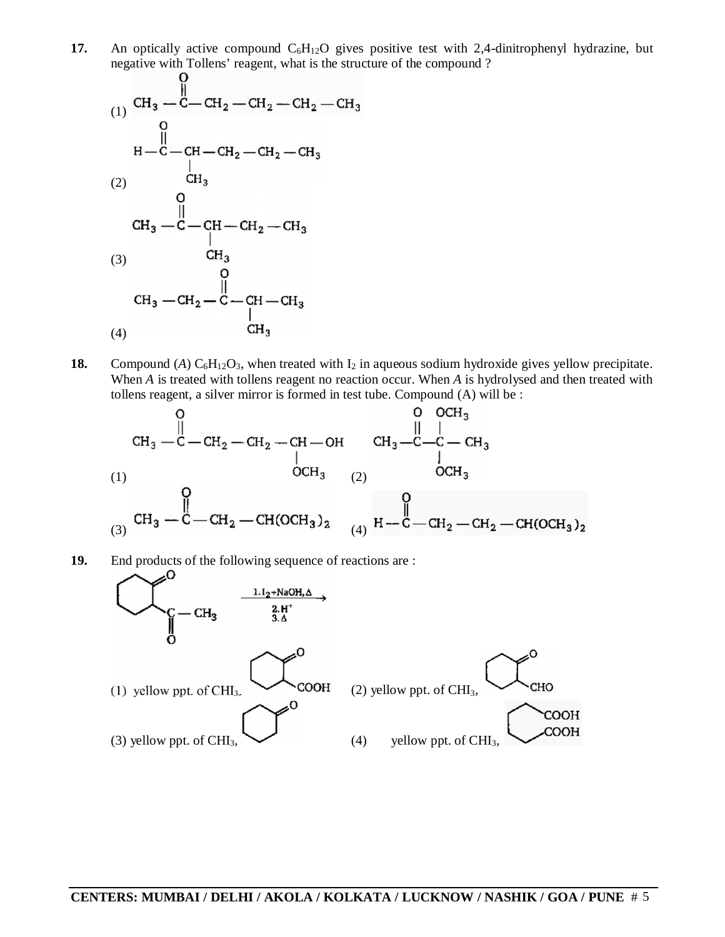**17.** An optically active compound  $C_6H_{12}O$  gives positive test with 2,4-dinitrophenyl hydrazine, but negative with Tollens' reagent, what is the structure of the compound ?



**18.** Compound (*A*)  $C_6H_{12}O_3$ , when treated with  $I_2$  in aqueous sodium hydroxide gives yellow precipitate. When *A* is treated with tollens reagent no reaction occur. When *A* is hydrolysed and then treated with tollens reagent, a silver mirror is formed in test tube. Compound (A) will be :

$$
\begin{array}{c|c}\n & 0 & 0 & 0 \\ \n\text{CH}_3 \begin{array}{c|c} & 0 & 0 \\ \n\end{array} & \begin{array}{c|c} \n\end{array} & \begin{array}{c|c} \n\end{array} & 0 & 0 \\ \n\end{array} & \begin{array}{c|c} \n\end{array} & \begin{array}{c|c} \n\end{array} & \begin{array}{c|c} \n\end{array} & 0 & 0 \\ \n\end{array} & \begin{array}{c|c} \n\end{array} & \begin{array}{c|c} \n\end{array} & \begin{array}{c|c} \n\end{array} & \begin{array}{c|c} \n\end{array} & \begin{array}{c|c} \n\end{array} & \begin{array}{c|c} \n\end{array} & \begin{array}{c|c} \n\end{array} & \begin{array}{c|c} \n\end{array} & \begin{array}{c|c} \n\end{array} & \begin{array}{c} \n\end{array} & \begin{array}{c} \n\end{array} & \begin{array}{c} \n\end{array} & \begin{array}{c} \n\end{array} & \begin{array}{c} \n\end{array} & \begin{array}{c} \n\end{array} & \begin{array}{c} \n\end{array} & \begin{array}{c} \n\end{array} & \begin{array}{c} \n\end{array} & \begin{array}{c} \n\end{array} & \begin{array}{c} \n\end{array} & \begin{array}{c} \n\end{array} & \begin{array}{c} \n\end{array} & \begin{array}{c} \n\end{array} & \begin{array}{c} \n\end{array} & \begin{array}{c} \n\end{array} & \begin{array}{c} \n\end{array} & \begin{array}{c} \n\end{array} & \begin{array}{c} \n\end{array} & \begin{array}{c} \n\end{array} & \begin{array}{c} \n\end{array} & \begin{array}{c} \n\end{array} & \begin{array}{c} \n\end{array} & \begin{array}{c} \n\end{array} & \begin{array}{c} \n\end{array} & \begin{array}{c} \n\end{array} & \begin{array}{c} \n\end{array} & \begin{array}{c} \n\end{array} & \begin{array}{c} \n\end{array} & \begin{array}{c}
$$

**19.** End products of the following sequence of reactions are :

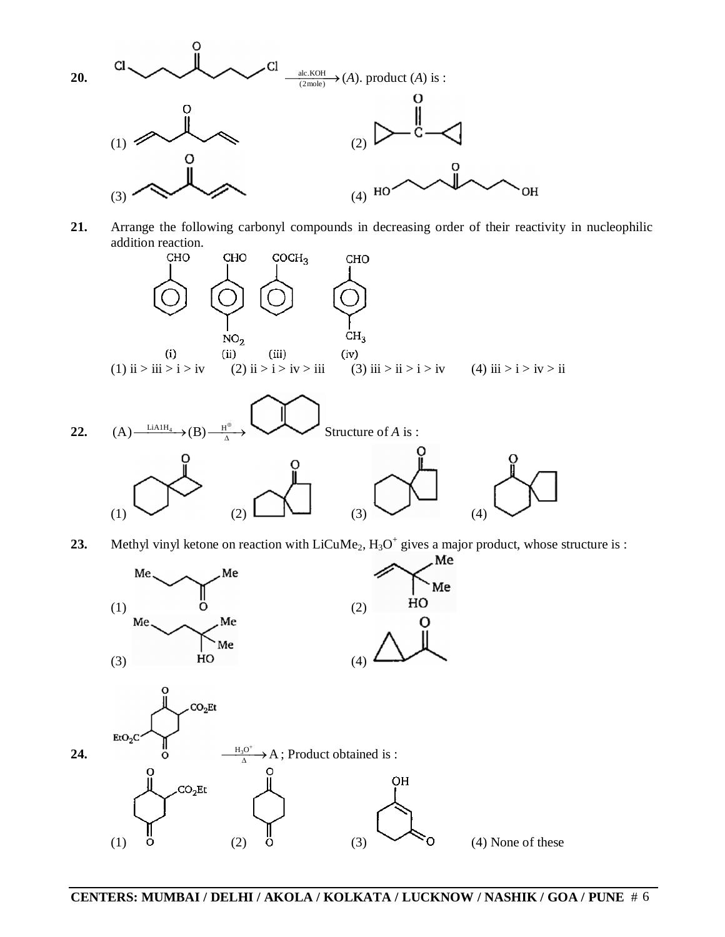

**21.** Arrange the following carbonyl compounds in decreasing order of their reactivity in nucleophilic addition reaction.



**23.** Methyl vinyl ketone on reaction with  $LiCuMe<sub>2</sub>$ ,  $H<sub>3</sub>O<sup>+</sup>$  gives a major product, whose structure is :

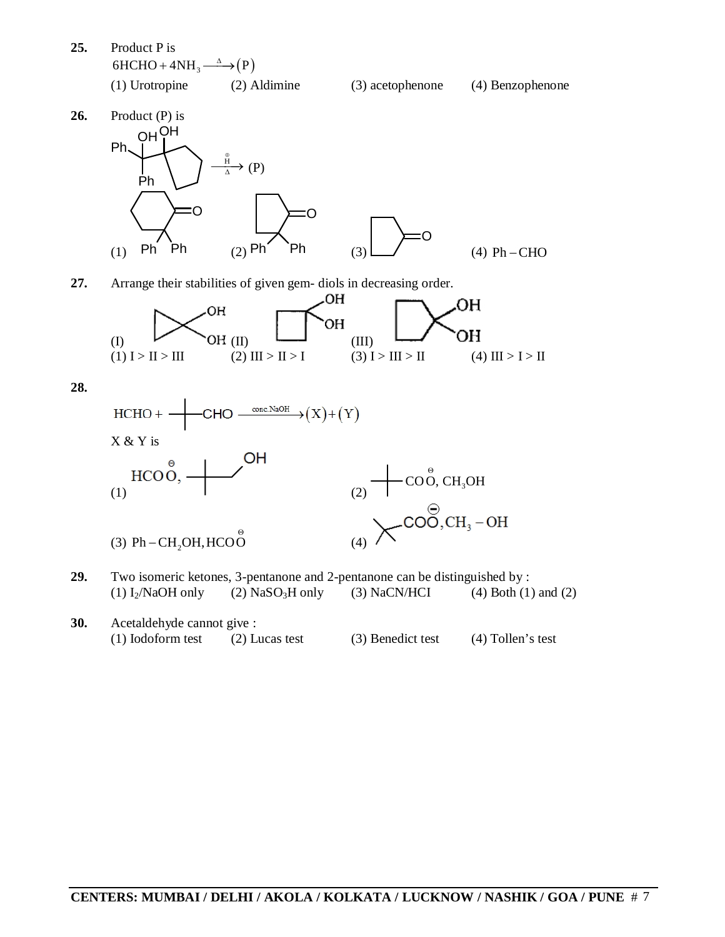**25.** Product P is  $6HCHO + 4NH_3 \xrightarrow{\Delta} (P)$ 



**26.** Product (P) is OH OH Ph Ph H Θ  $\frac{H}{\Delta}$  (P) (1) :O Ph Ph O  $(2)$  Ph  $(3)$  $\subset$  $(4)$  Ph  $-CHO$ 

**27.** Arrange their stabilities of given gem- diols in decreasing order.



**28.**



- **29.** Two isomeric ketones, 3-pentanone and 2-pentanone can be distinguished by : (1)  $I_2/NaOH$  only (2)  $NaSO_3H$  only (3)  $NaCN/HCI$  (4)  $Both (1)$  and (2)
- **30.** Acetaldehyde cannot give : (1) Iodoform test (2) Lucas test (3) Benedict test (4) Tollen's test